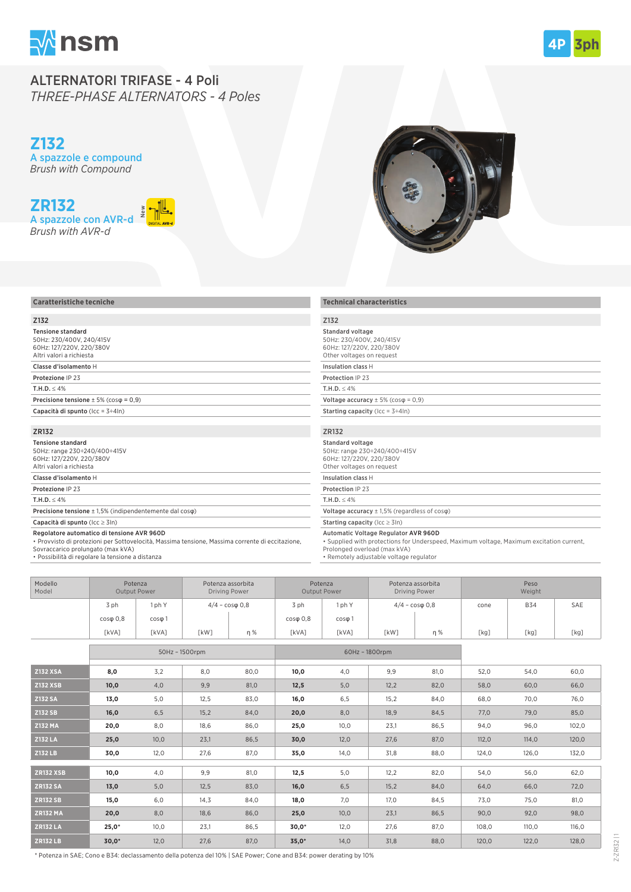

## ALTERNATORI TRIFASE - 4 Poli *THREE-PHASE ALTERNATORS - 4 Poles*

**Z132** A spazzole e compound *Brush with Compound*

# **ZR132**



## **Caratteristiche tecniche** Z132 Tensione standard 50Hz: 230/400V, 240/415V 60Hz: 127/220V, 220/380V Altri valori a richiesta Classe d'isolamento H Protezione IP 23 T.H.D.  $\leq 4\%$ Precisione tensione  $\pm$  5% (cos $\varphi$  = 0,9) Capacità di spunto (Icc = 3÷4In) ZR132 Tensione standard 50Hz: range 230÷240/400÷415V 60Hz: 127/220V, 220/380V Altri valori a richiesta Classe d'isolamento H Protezione IP 23 T.H.D.  $\leq 4\%$ Precisione tensione ± 1,5% (indipendentemente dal cosφ)

### Standard voltage 50Hz: 230/400V, 240/415V 60Hz: 127/220V, 220/380V Other voltages on request Insulation class H Protection IP 23

## ZR132

| Standard voltage<br>50Hz: range 230÷240/400÷415V<br>60Hz: 127/220V, 220/380V<br>Other voltages on request |
|-----------------------------------------------------------------------------------------------------------|
| Insulation class H                                                                                        |
| Protection IP 23                                                                                          |
| T.H.D. < 4%                                                                                               |
| Voltage accuracy $\pm$ 1,5% (regardless of cos $\varphi$ )                                                |
| <b>Starting capacity</b> ( $ cc \ge 3 n$ )                                                                |

#### Automatic Voltage Regulator AVR 960D

| Modello<br>Model |               | Potenza<br>Output Power |                          | Potenza assorbita<br><b>Driving Power</b> |               | Potenza<br>Potenza assorbita<br><b>Driving Power</b><br>Output Power |                          | Peso<br>Weight |      |            |      |
|------------------|---------------|-------------------------|--------------------------|-------------------------------------------|---------------|----------------------------------------------------------------------|--------------------------|----------------|------|------------|------|
|                  | 3 ph          | ph Y                    | $4/4 - \cos \phi \; 0.8$ |                                           | 3 ph          | l ph Y                                                               | $4/4 - \cos \phi \; 0.8$ |                | cone | <b>B34</b> | SAE  |
|                  | $cos\phi$ 0.8 | $cos\phi$ 1             |                          |                                           | $cos\phi$ 0.8 | $cos\phi$ 1                                                          |                          |                |      |            |      |
|                  | [kVA]         | [kVA]                   | [kW]                     | n %                                       | [kVA]         | [kVA]                                                                | [kW]                     | n %            | [kg] | [kg]       | [kg] |
|                  |               |                         |                          |                                           |               |                                                                      |                          |                |      |            |      |

| <b>Caratteristiche tecniche</b><br><b>Technical characteristics</b><br>Z132<br>Z132<br><b>Tensione standard</b><br>Standard voltage<br>50Hz: 230/400V, 240/415V<br>50Hz: 230/400V, 240/415V<br>60Hz: 127/220V, 220/380V<br>60Hz: 127/220V, 220/380V<br>Altri valori a richiesta<br>Other voltages on request<br>Classe d'isolamento H<br>Insulation class H<br>Protezione IP 23<br>Protection IP 23<br>T.H.D. $\leq 4\%$<br>T.H.D. $\leq 4\%$<br>Precisione tensione $\pm$ 5% (cos $\varphi$ = 0,9)<br>Voltage accuracy $\pm$ 5% (cos $\varphi$ = 0,9)<br>Capacità di spunto ( $\text{lcc} = 3 \div 4 \text{ln}$ )<br><b>Starting capacity</b> (Icc = $3 \div 4$ In)<br>ZR132<br>ZR132<br><b>Tensione standard</b><br><b>Standard voltage</b><br>50Hz: range 230÷240/400÷415V<br>50Hz: range 230÷240/400÷415V<br>60Hz: 127/220V, 220/380V<br>60Hz: 127/220V, 220/380V<br>Altri valori a richiesta<br>Other voltages on request<br>Classe d'isolamento H<br>Insulation class H<br>Protezione IP 23<br>Protection IP 23<br>T.H.D. $\leq 4\%$<br>T.H.D. $\leq 4\%$<br><b>Precisione tensione</b> $\pm$ 1,5% (indipendentemente dal cos $\varphi$ )<br>Voltage accuracy $\pm$ 1,5% (regardless of cos $\varphi$ )<br>Capacità di spunto ( $\text{lcc} \geq 3\text{ln}$ )<br><b>Starting capacity</b> ( $ cc \ge 3 n$ )<br>Regolatore automatico di tensione AVR 960D<br>Automatic Voltage Regulator AVR 960D<br>. Supplied with protections for Underspeed, Maximum voltage, Maximum excitation current,<br>· Provvisto di protezioni per Sottovelocità, Massima tensione, Massima corrente di eccitazione,<br>Prolonged overload (max kVA)<br>Sovraccarico prolungato (max kVA)<br>* Possibilità di regolare la tensione a distanza<br>• Remotely adjustable voltage regulator<br>Peso<br>Modello<br>Potenza<br>Potenza assorbita<br>Potenza<br>Potenza assorbita<br>Output Power<br>Model<br>Output Power<br><b>Driving Power</b><br><b>Driving Power</b><br>Weight<br>3 ph<br>1 ph Y<br>$4/4 - \cos \phi 0.8$<br>3 ph<br>1 ph Y<br>$4/4 - \cos \phi 0,8$<br><b>B34</b><br>SAE<br>cone<br>$cos\phi$ 0,8<br>$cos\phi$ 0,8<br>$cos\phi$ 1<br>$cos\phi$ 1<br>[kVA]<br>[kVA]<br>[kW]<br>η%<br>[kVA]<br>[kVA]<br>[kW]<br>[kg]<br>η%<br>[kg]<br>[kg]<br>50Hz - 1500rpm<br>60Hz - 1800rpm<br><b>Z132 XSA</b><br>9,9<br>81,0<br>8,0<br>3,2<br>8,0<br>80,0<br>10,0<br>4,0<br>52,0<br>54,0<br>60,0<br><b>Z132 XSB</b><br>10,0<br>4,0<br>9,9<br>81,0<br>12,5<br>5,0<br>12,2<br>82,0<br>58,0<br>60,0<br>66,0<br><b>Z132 SA</b><br>84,0<br>76,0<br>13,0<br>5,0<br>12,5<br>83,0<br>16,0<br>6,5<br>15,2<br>68,0<br>70,0<br>Z132 SB<br>16,0<br>6,5<br>15,2<br>84,0<br>20,0<br>8,0<br>18,9<br>84,5<br>77,0<br>79,0<br>85,0<br><b>Z132 MA</b><br>20,0<br>86,5<br>102,0<br>8,0<br>18,6<br>86,0<br>25,0<br>10,0<br>23,1<br>94,0<br>96,0<br><b>Z132 LA</b><br>10,0<br>12,0<br>87,0<br>114,0<br>120,0<br>25,0<br>23,1<br>86,5<br>30,0<br>27,6<br>112,0 |
|--------------------------------------------------------------------------------------------------------------------------------------------------------------------------------------------------------------------------------------------------------------------------------------------------------------------------------------------------------------------------------------------------------------------------------------------------------------------------------------------------------------------------------------------------------------------------------------------------------------------------------------------------------------------------------------------------------------------------------------------------------------------------------------------------------------------------------------------------------------------------------------------------------------------------------------------------------------------------------------------------------------------------------------------------------------------------------------------------------------------------------------------------------------------------------------------------------------------------------------------------------------------------------------------------------------------------------------------------------------------------------------------------------------------------------------------------------------------------------------------------------------------------------------------------------------------------------------------------------------------------------------------------------------------------------------------------------------------------------------------------------------------------------------------------------------------------------------------------------------------------------------------------------------------------------------------------------------------------------------------------------------------------------------------------------------------------------------------------------------------------------------------------------------------------------------------------------------------------------------------------------------------------------------------------------------------------------------------------------------------------------------------------------------------------------------------------------------------------------------------------------------------------------------------------------------------------------------------------------------------------------------------------------------------------------------------------------------------------------------------------------------------------------------------------------------------------------------------------------------------------------------------------------------------------------|
|                                                                                                                                                                                                                                                                                                                                                                                                                                                                                                                                                                                                                                                                                                                                                                                                                                                                                                                                                                                                                                                                                                                                                                                                                                                                                                                                                                                                                                                                                                                                                                                                                                                                                                                                                                                                                                                                                                                                                                                                                                                                                                                                                                                                                                                                                                                                                                                                                                                                                                                                                                                                                                                                                                                                                                                                                                                                                                                                |
|                                                                                                                                                                                                                                                                                                                                                                                                                                                                                                                                                                                                                                                                                                                                                                                                                                                                                                                                                                                                                                                                                                                                                                                                                                                                                                                                                                                                                                                                                                                                                                                                                                                                                                                                                                                                                                                                                                                                                                                                                                                                                                                                                                                                                                                                                                                                                                                                                                                                                                                                                                                                                                                                                                                                                                                                                                                                                                                                |
|                                                                                                                                                                                                                                                                                                                                                                                                                                                                                                                                                                                                                                                                                                                                                                                                                                                                                                                                                                                                                                                                                                                                                                                                                                                                                                                                                                                                                                                                                                                                                                                                                                                                                                                                                                                                                                                                                                                                                                                                                                                                                                                                                                                                                                                                                                                                                                                                                                                                                                                                                                                                                                                                                                                                                                                                                                                                                                                                |
|                                                                                                                                                                                                                                                                                                                                                                                                                                                                                                                                                                                                                                                                                                                                                                                                                                                                                                                                                                                                                                                                                                                                                                                                                                                                                                                                                                                                                                                                                                                                                                                                                                                                                                                                                                                                                                                                                                                                                                                                                                                                                                                                                                                                                                                                                                                                                                                                                                                                                                                                                                                                                                                                                                                                                                                                                                                                                                                                |
|                                                                                                                                                                                                                                                                                                                                                                                                                                                                                                                                                                                                                                                                                                                                                                                                                                                                                                                                                                                                                                                                                                                                                                                                                                                                                                                                                                                                                                                                                                                                                                                                                                                                                                                                                                                                                                                                                                                                                                                                                                                                                                                                                                                                                                                                                                                                                                                                                                                                                                                                                                                                                                                                                                                                                                                                                                                                                                                                |
|                                                                                                                                                                                                                                                                                                                                                                                                                                                                                                                                                                                                                                                                                                                                                                                                                                                                                                                                                                                                                                                                                                                                                                                                                                                                                                                                                                                                                                                                                                                                                                                                                                                                                                                                                                                                                                                                                                                                                                                                                                                                                                                                                                                                                                                                                                                                                                                                                                                                                                                                                                                                                                                                                                                                                                                                                                                                                                                                |
|                                                                                                                                                                                                                                                                                                                                                                                                                                                                                                                                                                                                                                                                                                                                                                                                                                                                                                                                                                                                                                                                                                                                                                                                                                                                                                                                                                                                                                                                                                                                                                                                                                                                                                                                                                                                                                                                                                                                                                                                                                                                                                                                                                                                                                                                                                                                                                                                                                                                                                                                                                                                                                                                                                                                                                                                                                                                                                                                |
|                                                                                                                                                                                                                                                                                                                                                                                                                                                                                                                                                                                                                                                                                                                                                                                                                                                                                                                                                                                                                                                                                                                                                                                                                                                                                                                                                                                                                                                                                                                                                                                                                                                                                                                                                                                                                                                                                                                                                                                                                                                                                                                                                                                                                                                                                                                                                                                                                                                                                                                                                                                                                                                                                                                                                                                                                                                                                                                                |
|                                                                                                                                                                                                                                                                                                                                                                                                                                                                                                                                                                                                                                                                                                                                                                                                                                                                                                                                                                                                                                                                                                                                                                                                                                                                                                                                                                                                                                                                                                                                                                                                                                                                                                                                                                                                                                                                                                                                                                                                                                                                                                                                                                                                                                                                                                                                                                                                                                                                                                                                                                                                                                                                                                                                                                                                                                                                                                                                |
|                                                                                                                                                                                                                                                                                                                                                                                                                                                                                                                                                                                                                                                                                                                                                                                                                                                                                                                                                                                                                                                                                                                                                                                                                                                                                                                                                                                                                                                                                                                                                                                                                                                                                                                                                                                                                                                                                                                                                                                                                                                                                                                                                                                                                                                                                                                                                                                                                                                                                                                                                                                                                                                                                                                                                                                                                                                                                                                                |
|                                                                                                                                                                                                                                                                                                                                                                                                                                                                                                                                                                                                                                                                                                                                                                                                                                                                                                                                                                                                                                                                                                                                                                                                                                                                                                                                                                                                                                                                                                                                                                                                                                                                                                                                                                                                                                                                                                                                                                                                                                                                                                                                                                                                                                                                                                                                                                                                                                                                                                                                                                                                                                                                                                                                                                                                                                                                                                                                |
|                                                                                                                                                                                                                                                                                                                                                                                                                                                                                                                                                                                                                                                                                                                                                                                                                                                                                                                                                                                                                                                                                                                                                                                                                                                                                                                                                                                                                                                                                                                                                                                                                                                                                                                                                                                                                                                                                                                                                                                                                                                                                                                                                                                                                                                                                                                                                                                                                                                                                                                                                                                                                                                                                                                                                                                                                                                                                                                                |
|                                                                                                                                                                                                                                                                                                                                                                                                                                                                                                                                                                                                                                                                                                                                                                                                                                                                                                                                                                                                                                                                                                                                                                                                                                                                                                                                                                                                                                                                                                                                                                                                                                                                                                                                                                                                                                                                                                                                                                                                                                                                                                                                                                                                                                                                                                                                                                                                                                                                                                                                                                                                                                                                                                                                                                                                                                                                                                                                |
|                                                                                                                                                                                                                                                                                                                                                                                                                                                                                                                                                                                                                                                                                                                                                                                                                                                                                                                                                                                                                                                                                                                                                                                                                                                                                                                                                                                                                                                                                                                                                                                                                                                                                                                                                                                                                                                                                                                                                                                                                                                                                                                                                                                                                                                                                                                                                                                                                                                                                                                                                                                                                                                                                                                                                                                                                                                                                                                                |
|                                                                                                                                                                                                                                                                                                                                                                                                                                                                                                                                                                                                                                                                                                                                                                                                                                                                                                                                                                                                                                                                                                                                                                                                                                                                                                                                                                                                                                                                                                                                                                                                                                                                                                                                                                                                                                                                                                                                                                                                                                                                                                                                                                                                                                                                                                                                                                                                                                                                                                                                                                                                                                                                                                                                                                                                                                                                                                                                |
|                                                                                                                                                                                                                                                                                                                                                                                                                                                                                                                                                                                                                                                                                                                                                                                                                                                                                                                                                                                                                                                                                                                                                                                                                                                                                                                                                                                                                                                                                                                                                                                                                                                                                                                                                                                                                                                                                                                                                                                                                                                                                                                                                                                                                                                                                                                                                                                                                                                                                                                                                                                                                                                                                                                                                                                                                                                                                                                                |
|                                                                                                                                                                                                                                                                                                                                                                                                                                                                                                                                                                                                                                                                                                                                                                                                                                                                                                                                                                                                                                                                                                                                                                                                                                                                                                                                                                                                                                                                                                                                                                                                                                                                                                                                                                                                                                                                                                                                                                                                                                                                                                                                                                                                                                                                                                                                                                                                                                                                                                                                                                                                                                                                                                                                                                                                                                                                                                                                |
|                                                                                                                                                                                                                                                                                                                                                                                                                                                                                                                                                                                                                                                                                                                                                                                                                                                                                                                                                                                                                                                                                                                                                                                                                                                                                                                                                                                                                                                                                                                                                                                                                                                                                                                                                                                                                                                                                                                                                                                                                                                                                                                                                                                                                                                                                                                                                                                                                                                                                                                                                                                                                                                                                                                                                                                                                                                                                                                                |
|                                                                                                                                                                                                                                                                                                                                                                                                                                                                                                                                                                                                                                                                                                                                                                                                                                                                                                                                                                                                                                                                                                                                                                                                                                                                                                                                                                                                                                                                                                                                                                                                                                                                                                                                                                                                                                                                                                                                                                                                                                                                                                                                                                                                                                                                                                                                                                                                                                                                                                                                                                                                                                                                                                                                                                                                                                                                                                                                |
|                                                                                                                                                                                                                                                                                                                                                                                                                                                                                                                                                                                                                                                                                                                                                                                                                                                                                                                                                                                                                                                                                                                                                                                                                                                                                                                                                                                                                                                                                                                                                                                                                                                                                                                                                                                                                                                                                                                                                                                                                                                                                                                                                                                                                                                                                                                                                                                                                                                                                                                                                                                                                                                                                                                                                                                                                                                                                                                                |
|                                                                                                                                                                                                                                                                                                                                                                                                                                                                                                                                                                                                                                                                                                                                                                                                                                                                                                                                                                                                                                                                                                                                                                                                                                                                                                                                                                                                                                                                                                                                                                                                                                                                                                                                                                                                                                                                                                                                                                                                                                                                                                                                                                                                                                                                                                                                                                                                                                                                                                                                                                                                                                                                                                                                                                                                                                                                                                                                |
|                                                                                                                                                                                                                                                                                                                                                                                                                                                                                                                                                                                                                                                                                                                                                                                                                                                                                                                                                                                                                                                                                                                                                                                                                                                                                                                                                                                                                                                                                                                                                                                                                                                                                                                                                                                                                                                                                                                                                                                                                                                                                                                                                                                                                                                                                                                                                                                                                                                                                                                                                                                                                                                                                                                                                                                                                                                                                                                                |
|                                                                                                                                                                                                                                                                                                                                                                                                                                                                                                                                                                                                                                                                                                                                                                                                                                                                                                                                                                                                                                                                                                                                                                                                                                                                                                                                                                                                                                                                                                                                                                                                                                                                                                                                                                                                                                                                                                                                                                                                                                                                                                                                                                                                                                                                                                                                                                                                                                                                                                                                                                                                                                                                                                                                                                                                                                                                                                                                |
|                                                                                                                                                                                                                                                                                                                                                                                                                                                                                                                                                                                                                                                                                                                                                                                                                                                                                                                                                                                                                                                                                                                                                                                                                                                                                                                                                                                                                                                                                                                                                                                                                                                                                                                                                                                                                                                                                                                                                                                                                                                                                                                                                                                                                                                                                                                                                                                                                                                                                                                                                                                                                                                                                                                                                                                                                                                                                                                                |
|                                                                                                                                                                                                                                                                                                                                                                                                                                                                                                                                                                                                                                                                                                                                                                                                                                                                                                                                                                                                                                                                                                                                                                                                                                                                                                                                                                                                                                                                                                                                                                                                                                                                                                                                                                                                                                                                                                                                                                                                                                                                                                                                                                                                                                                                                                                                                                                                                                                                                                                                                                                                                                                                                                                                                                                                                                                                                                                                |
|                                                                                                                                                                                                                                                                                                                                                                                                                                                                                                                                                                                                                                                                                                                                                                                                                                                                                                                                                                                                                                                                                                                                                                                                                                                                                                                                                                                                                                                                                                                                                                                                                                                                                                                                                                                                                                                                                                                                                                                                                                                                                                                                                                                                                                                                                                                                                                                                                                                                                                                                                                                                                                                                                                                                                                                                                                                                                                                                |
|                                                                                                                                                                                                                                                                                                                                                                                                                                                                                                                                                                                                                                                                                                                                                                                                                                                                                                                                                                                                                                                                                                                                                                                                                                                                                                                                                                                                                                                                                                                                                                                                                                                                                                                                                                                                                                                                                                                                                                                                                                                                                                                                                                                                                                                                                                                                                                                                                                                                                                                                                                                                                                                                                                                                                                                                                                                                                                                                |
|                                                                                                                                                                                                                                                                                                                                                                                                                                                                                                                                                                                                                                                                                                                                                                                                                                                                                                                                                                                                                                                                                                                                                                                                                                                                                                                                                                                                                                                                                                                                                                                                                                                                                                                                                                                                                                                                                                                                                                                                                                                                                                                                                                                                                                                                                                                                                                                                                                                                                                                                                                                                                                                                                                                                                                                                                                                                                                                                |
|                                                                                                                                                                                                                                                                                                                                                                                                                                                                                                                                                                                                                                                                                                                                                                                                                                                                                                                                                                                                                                                                                                                                                                                                                                                                                                                                                                                                                                                                                                                                                                                                                                                                                                                                                                                                                                                                                                                                                                                                                                                                                                                                                                                                                                                                                                                                                                                                                                                                                                                                                                                                                                                                                                                                                                                                                                                                                                                                |
| <b>Z132 LB</b><br>30,0<br>12,0<br>27,6<br>87,0<br>35,0<br>14,0<br>31,8<br>88,0<br>124,0<br>126,0<br>132,0                                                                                                                                                                                                                                                                                                                                                                                                                                                                                                                                                                                                                                                                                                                                                                                                                                                                                                                                                                                                                                                                                                                                                                                                                                                                                                                                                                                                                                                                                                                                                                                                                                                                                                                                                                                                                                                                                                                                                                                                                                                                                                                                                                                                                                                                                                                                                                                                                                                                                                                                                                                                                                                                                                                                                                                                                      |
|                                                                                                                                                                                                                                                                                                                                                                                                                                                                                                                                                                                                                                                                                                                                                                                                                                                                                                                                                                                                                                                                                                                                                                                                                                                                                                                                                                                                                                                                                                                                                                                                                                                                                                                                                                                                                                                                                                                                                                                                                                                                                                                                                                                                                                                                                                                                                                                                                                                                                                                                                                                                                                                                                                                                                                                                                                                                                                                                |
| <b>ZR132 XSB</b><br>4,0<br>9,9<br>81,0<br>5,0<br>10,0<br>12,5<br>12,2<br>82,0<br>54,0<br>56,0<br>62,0                                                                                                                                                                                                                                                                                                                                                                                                                                                                                                                                                                                                                                                                                                                                                                                                                                                                                                                                                                                                                                                                                                                                                                                                                                                                                                                                                                                                                                                                                                                                                                                                                                                                                                                                                                                                                                                                                                                                                                                                                                                                                                                                                                                                                                                                                                                                                                                                                                                                                                                                                                                                                                                                                                                                                                                                                          |
| <b>ZR132 SA</b><br>13,0<br>5,0<br>12,5<br>83,0<br>16,0<br>6,5<br>15,2<br>84,0<br>64,0<br>66,0<br>72,0                                                                                                                                                                                                                                                                                                                                                                                                                                                                                                                                                                                                                                                                                                                                                                                                                                                                                                                                                                                                                                                                                                                                                                                                                                                                                                                                                                                                                                                                                                                                                                                                                                                                                                                                                                                                                                                                                                                                                                                                                                                                                                                                                                                                                                                                                                                                                                                                                                                                                                                                                                                                                                                                                                                                                                                                                          |
|                                                                                                                                                                                                                                                                                                                                                                                                                                                                                                                                                                                                                                                                                                                                                                                                                                                                                                                                                                                                                                                                                                                                                                                                                                                                                                                                                                                                                                                                                                                                                                                                                                                                                                                                                                                                                                                                                                                                                                                                                                                                                                                                                                                                                                                                                                                                                                                                                                                                                                                                                                                                                                                                                                                                                                                                                                                                                                                                |
| <b>ZR132 SB</b><br>15,0<br>6,0<br>14,3<br>84,0<br>18,0<br>7,0<br>17,0<br>84,5<br>73,0<br>75,0<br>81,0                                                                                                                                                                                                                                                                                                                                                                                                                                                                                                                                                                                                                                                                                                                                                                                                                                                                                                                                                                                                                                                                                                                                                                                                                                                                                                                                                                                                                                                                                                                                                                                                                                                                                                                                                                                                                                                                                                                                                                                                                                                                                                                                                                                                                                                                                                                                                                                                                                                                                                                                                                                                                                                                                                                                                                                                                          |
| <b>ZR132 MA</b><br>90,0<br>92,0<br>98,0<br>20,0<br>8,0<br>18,6<br>86,0<br>25,0<br>10,0<br>23,1<br>86,5                                                                                                                                                                                                                                                                                                                                                                                                                                                                                                                                                                                                                                                                                                                                                                                                                                                                                                                                                                                                                                                                                                                                                                                                                                                                                                                                                                                                                                                                                                                                                                                                                                                                                                                                                                                                                                                                                                                                                                                                                                                                                                                                                                                                                                                                                                                                                                                                                                                                                                                                                                                                                                                                                                                                                                                                                         |
| $25,0*$<br>$30,0*$<br>87,0<br>108,0<br>110,0<br>116,0<br>10,0<br>86,5<br>12,0<br>27,6                                                                                                                                                                                                                                                                                                                                                                                                                                                                                                                                                                                                                                                                                                                                                                                                                                                                                                                                                                                                                                                                                                                                                                                                                                                                                                                                                                                                                                                                                                                                                                                                                                                                                                                                                                                                                                                                                                                                                                                                                                                                                                                                                                                                                                                                                                                                                                                                                                                                                                                                                                                                                                                                                                                                                                                                                                          |
| <b>ZR132 LA</b><br>23,1<br><b>ZR132LB</b><br>$30,0*$<br>12,0<br>$35,0*$<br>88,0<br>120,0<br>122,0<br>128,0<br>27,6<br>87,0<br>14,0<br>31,8                                                                                                                                                                                                                                                                                                                                                                                                                                                                                                                                                                                                                                                                                                                                                                                                                                                                                                                                                                                                                                                                                                                                                                                                                                                                                                                                                                                                                                                                                                                                                                                                                                                                                                                                                                                                                                                                                                                                                                                                                                                                                                                                                                                                                                                                                                                                                                                                                                                                                                                                                                                                                                                                                                                                                                                     |